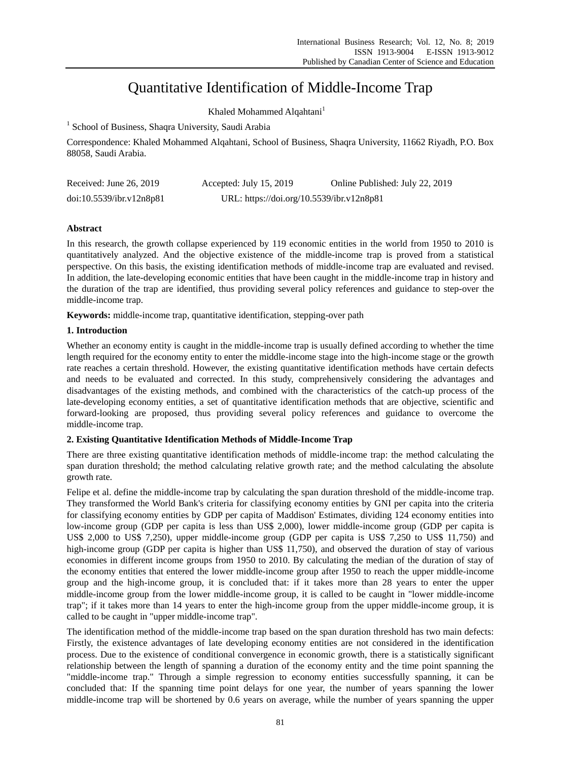# Quantitative Identification of Middle-Income Trap

Khaled Mohammed Alqahtani<sup>1</sup>

<sup>1</sup> School of Business, Shaqra University, Saudi Arabia

Correspondence: Khaled Mohammed Alqahtani, School of Business, Shaqra University, 11662 Riyadh, P.O. Box 88058, Saudi Arabia.

| Received: June $26, 2019$ | Accepted: July $15, 2019$                 | Online Published: July 22, 2019 |
|---------------------------|-------------------------------------------|---------------------------------|
| doi:10.5539/ibr.v12n8p81  | URL: https://doi.org/10.5539/ibr.v12n8p81 |                                 |

## **Abstract**

In this research, the growth collapse experienced by 119 economic entities in the world from 1950 to 2010 is quantitatively analyzed. And the objective existence of the middle-income trap is proved from a statistical perspective. On this basis, the existing identification methods of middle-income trap are evaluated and revised. In addition, the late-developing economic entities that have been caught in the middle-income trap in history and the duration of the trap are identified, thus providing several policy references and guidance to step-over the middle-income trap.

**Keywords:** middle-income trap, quantitative identification, stepping-over path

## **1. Introduction**

Whether an economy entity is caught in the middle-income trap is usually defined according to whether the time length required for the economy entity to enter the middle-income stage into the high-income stage or the growth rate reaches a certain threshold. However, the existing quantitative identification methods have certain defects and needs to be evaluated and corrected. In this study, comprehensively considering the advantages and disadvantages of the existing methods, and combined with the characteristics of the catch-up process of the late-developing economy entities, a set of quantitative identification methods that are objective, scientific and forward-looking are proposed, thus providing several policy references and guidance to overcome the middle-income trap.

# **2. Existing Quantitative Identification Methods of Middle-Income Trap**

There are three existing quantitative identification methods of middle-income trap: the method calculating the span duration threshold; the method calculating relative growth rate; and the method calculating the absolute growth rate.

Felipe et al. define the middle-income trap by calculating the span duration threshold of the middle-income trap. They transformed the World Bank's criteria for classifying economy entities by GNI per capita into the criteria for classifying economy entities by GDP per capita of Maddison' Estimates, dividing 124 economy entities into low-income group (GDP per capita is less than US\$ 2,000), lower middle-income group (GDP per capita is US\$ 2,000 to US\$ 7,250), upper middle-income group (GDP per capita is US\$ 7,250 to US\$ 11,750) and high-income group (GDP per capita is higher than US\$ 11,750), and observed the duration of stay of various economies in different income groups from 1950 to 2010. By calculating the median of the duration of stay of the economy entities that entered the lower middle-income group after 1950 to reach the upper middle-income group and the high-income group, it is concluded that: if it takes more than 28 years to enter the upper middle-income group from the lower middle-income group, it is called to be caught in "lower middle-income trap"; if it takes more than 14 years to enter the high-income group from the upper middle-income group, it is called to be caught in "upper middle-income trap".

The identification method of the middle-income trap based on the span duration threshold has two main defects: Firstly, the existence advantages of late developing economy entities are not considered in the identification process. Due to the existence of conditional convergence in economic growth, there is a statistically significant relationship between the length of spanning a duration of the economy entity and the time point spanning the "middle-income trap." Through a simple regression to economy entities successfully spanning, it can be concluded that: If the spanning time point delays for one year, the number of years spanning the lower middle-income trap will be shortened by 0.6 years on average, while the number of years spanning the upper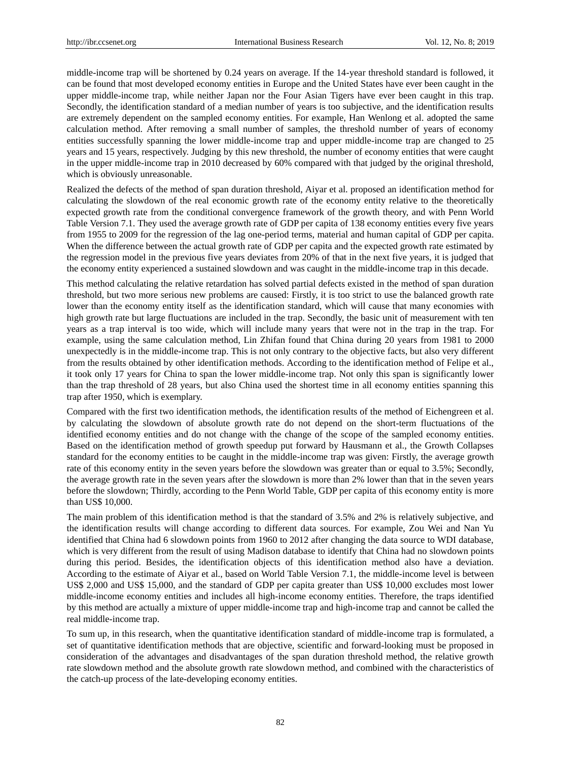middle-income trap will be shortened by 0.24 years on average. If the 14-year threshold standard is followed, it can be found that most developed economy entities in Europe and the United States have ever been caught in the upper middle-income trap, while neither Japan nor the Four Asian Tigers have ever been caught in this trap. Secondly, the identification standard of a median number of years is too subjective, and the identification results are extremely dependent on the sampled economy entities. For example, Han Wenlong et al. adopted the same calculation method. After removing a small number of samples, the threshold number of years of economy entities successfully spanning the lower middle-income trap and upper middle-income trap are changed to 25 years and 15 years, respectively. Judging by this new threshold, the number of economy entities that were caught in the upper middle-income trap in 2010 decreased by 60% compared with that judged by the original threshold, which is obviously unreasonable.

Realized the defects of the method of span duration threshold, Aiyar et al. proposed an identification method for calculating the slowdown of the real economic growth rate of the economy entity relative to the theoretically expected growth rate from the conditional convergence framework of the growth theory, and with Penn World Table Version 7.1. They used the average growth rate of GDP per capita of 138 economy entities every five years from 1955 to 2009 for the regression of the lag one-period terms, material and human capital of GDP per capita. When the difference between the actual growth rate of GDP per capita and the expected growth rate estimated by the regression model in the previous five years deviates from 20% of that in the next five years, it is judged that the economy entity experienced a sustained slowdown and was caught in the middle-income trap in this decade.

This method calculating the relative retardation has solved partial defects existed in the method of span duration threshold, but two more serious new problems are caused: Firstly, it is too strict to use the balanced growth rate lower than the economy entity itself as the identification standard, which will cause that many economies with high growth rate but large fluctuations are included in the trap. Secondly, the basic unit of measurement with ten years as a trap interval is too wide, which will include many years that were not in the trap in the trap. For example, using the same calculation method, Lin Zhifan found that China during 20 years from 1981 to 2000 unexpectedly is in the middle-income trap. This is not only contrary to the objective facts, but also very different from the results obtained by other identification methods. According to the identification method of Felipe et al., it took only 17 years for China to span the lower middle-income trap. Not only this span is significantly lower than the trap threshold of 28 years, but also China used the shortest time in all economy entities spanning this trap after 1950, which is exemplary.

Compared with the first two identification methods, the identification results of the method of Eichengreen et al. by calculating the slowdown of absolute growth rate do not depend on the short-term fluctuations of the identified economy entities and do not change with the change of the scope of the sampled economy entities. Based on the identification method of growth speedup put forward by Hausmann et al., the Growth Collapses standard for the economy entities to be caught in the middle-income trap was given: Firstly, the average growth rate of this economy entity in the seven years before the slowdown was greater than or equal to 3.5%; Secondly, the average growth rate in the seven years after the slowdown is more than 2% lower than that in the seven years before the slowdown; Thirdly, according to the Penn World Table, GDP per capita of this economy entity is more than US\$ 10,000.

The main problem of this identification method is that the standard of 3.5% and 2% is relatively subjective, and the identification results will change according to different data sources. For example, Zou Wei and Nan Yu identified that China had 6 slowdown points from 1960 to 2012 after changing the data source to WDI database, which is very different from the result of using Madison database to identify that China had no slowdown points during this period. Besides, the identification objects of this identification method also have a deviation. According to the estimate of Aiyar et al., based on World Table Version 7.1, the middle-income level is between US\$ 2,000 and US\$ 15,000, and the standard of GDP per capita greater than US\$ 10,000 excludes most lower middle-income economy entities and includes all high-income economy entities. Therefore, the traps identified by this method are actually a mixture of upper middle-income trap and high-income trap and cannot be called the real middle-income trap.

To sum up, in this research, when the quantitative identification standard of middle-income trap is formulated, a set of quantitative identification methods that are objective, scientific and forward-looking must be proposed in consideration of the advantages and disadvantages of the span duration threshold method, the relative growth rate slowdown method and the absolute growth rate slowdown method, and combined with the characteristics of the catch-up process of the late-developing economy entities.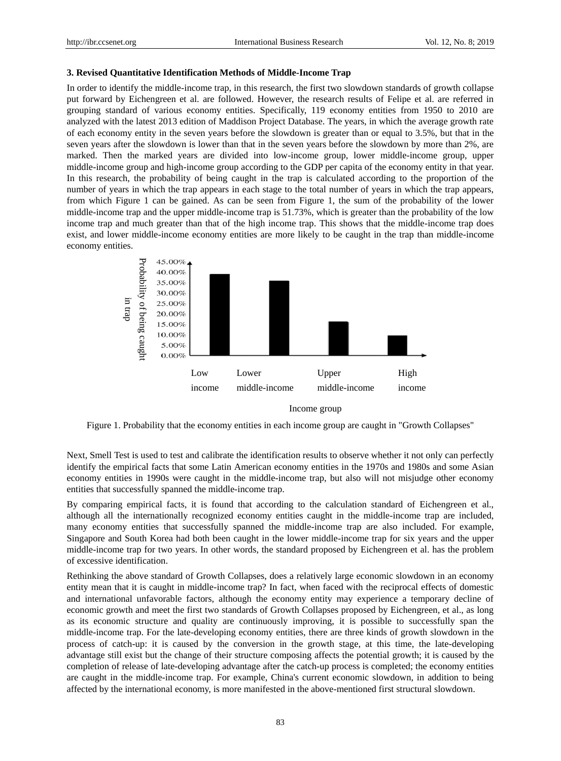#### **3. Revised Quantitative Identification Methods of Middle-Income Trap**

In order to identify the middle-income trap, in this research, the first two slowdown standards of growth collapse put forward by Eichengreen et al. are followed. However, the research results of Felipe et al. are referred in grouping standard of various economy entities. Specifically, 119 economy entities from 1950 to 2010 are analyzed with the latest 2013 edition of Maddison Project Database. The years, in which the average growth rate of each economy entity in the seven years before the slowdown is greater than or equal to 3.5%, but that in the seven years after the slowdown is lower than that in the seven years before the slowdown by more than 2%, are marked. Then the marked years are divided into low-income group, lower middle-income group, upper middle-income group and high-income group according to the GDP per capita of the economy entity in that year. In this research, the probability of being caught in the trap is calculated according to the proportion of the number of years in which the trap appears in each stage to the total number of years in which the trap appears, from which Figure 1 can be gained. As can be seen from Figure 1, the sum of the probability of the lower middle-income trap and the upper middle-income trap is 51.73%, which is greater than the probability of the low income trap and much greater than that of the high income trap. This shows that the middle-income trap does exist, and lower middle-income economy entities are more likely to be caught in the trap than middle-income economy entities.



Income group

Figure 1. Probability that the economy entities in each income group are caught in "Growth Collapses"

Next, Smell Test is used to test and calibrate the identification results to observe whether it not only can perfectly identify the empirical facts that some Latin American economy entities in the 1970s and 1980s and some Asian economy entities in 1990s were caught in the middle-income trap, but also will not misjudge other economy entities that successfully spanned the middle-income trap.

By comparing empirical facts, it is found that according to the calculation standard of Eichengreen et al., although all the internationally recognized economy entities caught in the middle-income trap are included, many economy entities that successfully spanned the middle-income trap are also included. For example, Singapore and South Korea had both been caught in the lower middle-income trap for six years and the upper middle-income trap for two years. In other words, the standard proposed by Eichengreen et al. has the problem of excessive identification.

Rethinking the above standard of Growth Collapses, does a relatively large economic slowdown in an economy entity mean that it is caught in middle-income trap? In fact, when faced with the reciprocal effects of domestic and international unfavorable factors, although the economy entity may experience a temporary decline of economic growth and meet the first two standards of Growth Collapses proposed by Eichengreen, et al., as long as its economic structure and quality are continuously improving, it is possible to successfully span the middle-income trap. For the late-developing economy entities, there are three kinds of growth slowdown in the process of catch-up: it is caused by the conversion in the growth stage, at this time, the late-developing advantage still exist but the change of their structure composing affects the potential growth; it is caused by the completion of release of late-developing advantage after the catch-up process is completed; the economy entities are caught in the middle-income trap. For example, China's current economic slowdown, in addition to being affected by the international economy, is more manifested in the above-mentioned first structural slowdown.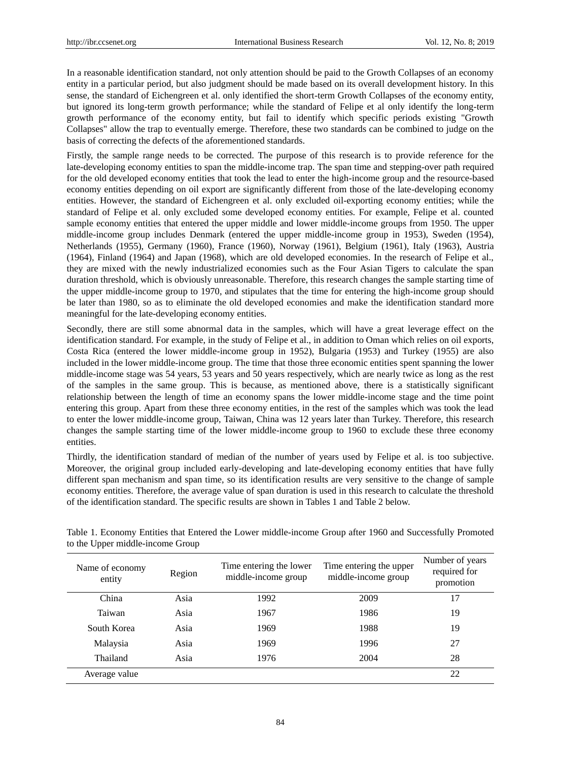In a reasonable identification standard, not only attention should be paid to the Growth Collapses of an economy entity in a particular period, but also judgment should be made based on its overall development history. In this sense, the standard of Eichengreen et al. only identified the short-term Growth Collapses of the economy entity, but ignored its long-term growth performance; while the standard of Felipe et al only identify the long-term growth performance of the economy entity, but fail to identify which specific periods existing "Growth Collapses" allow the trap to eventually emerge. Therefore, these two standards can be combined to judge on the basis of correcting the defects of the aforementioned standards.

Firstly, the sample range needs to be corrected. The purpose of this research is to provide reference for the late-developing economy entities to span the middle-income trap. The span time and stepping-over path required for the old developed economy entities that took the lead to enter the high-income group and the resource-based economy entities depending on oil export are significantly different from those of the late-developing economy entities. However, the standard of Eichengreen et al. only excluded oil-exporting economy entities; while the standard of Felipe et al. only excluded some developed economy entities. For example, Felipe et al. counted sample economy entities that entered the upper middle and lower middle-income groups from 1950. The upper middle-income group includes Denmark (entered the upper middle-income group in 1953), Sweden (1954), Netherlands (1955), Germany (1960), France (1960), Norway (1961), Belgium (1961), Italy (1963), Austria (1964), Finland (1964) and Japan (1968), which are old developed economies. In the research of Felipe et al., they are mixed with the newly industrialized economies such as the Four Asian Tigers to calculate the span duration threshold, which is obviously unreasonable. Therefore, this research changes the sample starting time of the upper middle-income group to 1970, and stipulates that the time for entering the high-income group should be later than 1980, so as to eliminate the old developed economies and make the identification standard more meaningful for the late-developing economy entities.

Secondly, there are still some abnormal data in the samples, which will have a great leverage effect on the identification standard. For example, in the study of Felipe et al., in addition to Oman which relies on oil exports, Costa Rica (entered the lower middle-income group in 1952), Bulgaria (1953) and Turkey (1955) are also included in the lower middle-income group. The time that those three economic entities spent spanning the lower middle-income stage was 54 years, 53 years and 50 years respectively, which are nearly twice as long as the rest of the samples in the same group. This is because, as mentioned above, there is a statistically significant relationship between the length of time an economy spans the lower middle-income stage and the time point entering this group. Apart from these three economy entities, in the rest of the samples which was took the lead to enter the lower middle-income group, Taiwan, China was 12 years later than Turkey. Therefore, this research changes the sample starting time of the lower middle-income group to 1960 to exclude these three economy entities.

Thirdly, the identification standard of median of the number of years used by Felipe et al. is too subjective. Moreover, the original group included early-developing and late-developing economy entities that have fully different span mechanism and span time, so its identification results are very sensitive to the change of sample economy entities. Therefore, the average value of span duration is used in this research to calculate the threshold of the identification standard. The specific results are shown in Tables 1 and Table 2 below.

| Name of economy<br>entity | Region | Time entering the lower<br>middle-income group | Time entering the upper<br>middle-income group | Number of years<br>required for<br>promotion |
|---------------------------|--------|------------------------------------------------|------------------------------------------------|----------------------------------------------|
| China                     | Asia   | 1992                                           | 2009                                           | 17                                           |
| Taiwan                    | Asia   | 1967                                           | 1986                                           | 19                                           |
| South Korea               | Asia   | 1969                                           | 1988                                           | 19                                           |
| Malaysia                  | Asia   | 1969                                           | 1996                                           | 27                                           |
| Thailand                  | Asia   | 1976                                           | 2004                                           | 28                                           |
| Average value             |        |                                                |                                                | 22                                           |

Table 1. Economy Entities that Entered the Lower middle-income Group after 1960 and Successfully Promoted to the Upper middle-income Group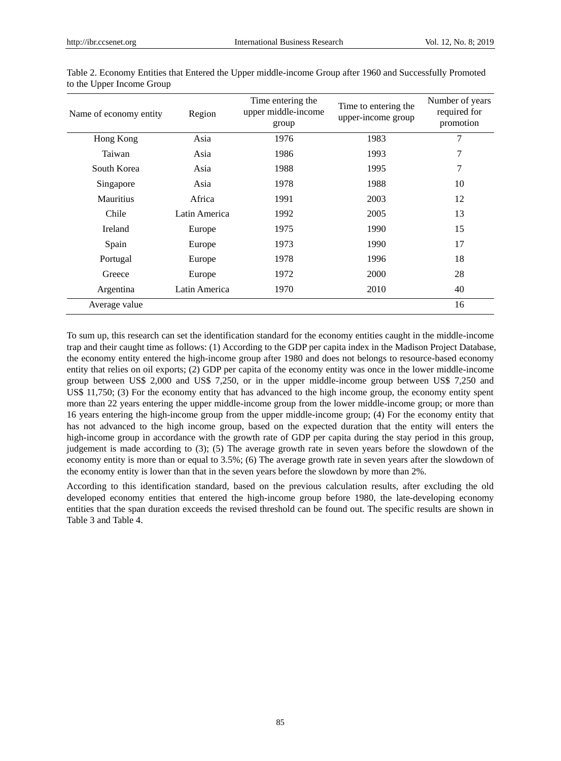| Name of economy entity | Region        | Time entering the<br>upper middle-income<br>group | Time to entering the<br>upper-income group | Number of years<br>required for<br>promotion |
|------------------------|---------------|---------------------------------------------------|--------------------------------------------|----------------------------------------------|
| Hong Kong              | Asia          | 1976                                              | 1983                                       | 7                                            |
| Taiwan                 | Asia          | 1986                                              | 1993                                       | 7                                            |
| South Korea            | Asia          | 1988                                              | 1995                                       | 7                                            |
| Singapore              | Asia          | 1978                                              | 1988                                       | 10                                           |
| Mauritius              | Africa        | 1991                                              | 2003                                       | 12                                           |
| Chile                  | Latin America | 1992                                              | 2005                                       | 13                                           |
| Ireland                | Europe        | 1975                                              | 1990                                       | 15                                           |
| Spain                  | Europe        | 1973                                              | 1990                                       | 17                                           |
| Portugal               | Europe        | 1978                                              | 1996                                       | 18                                           |
| Greece                 | Europe        | 1972                                              | 2000                                       | 28                                           |
| Argentina              | Latin America | 1970                                              | 2010                                       | 40                                           |
| Average value          |               |                                                   |                                            | 16                                           |

Table 2. Economy Entities that Entered the Upper middle-income Group after 1960 and Successfully Promoted to the Upper Income Group

To sum up, this research can set the identification standard for the economy entities caught in the middle-income trap and their caught time as follows: (1) According to the GDP per capita index in the Madison Project Database, the economy entity entered the high-income group after 1980 and does not belongs to resource-based economy entity that relies on oil exports; (2) GDP per capita of the economy entity was once in the lower middle-income group between US\$ 2,000 and US\$ 7,250, or in the upper middle-income group between US\$ 7,250 and US\$ 11,750; (3) For the economy entity that has advanced to the high income group, the economy entity spent more than 22 years entering the upper middle-income group from the lower middle-income group; or more than 16 years entering the high-income group from the upper middle-income group; (4) For the economy entity that has not advanced to the high income group, based on the expected duration that the entity will enters the high-income group in accordance with the growth rate of GDP per capita during the stay period in this group, judgement is made according to (3); (5) The average growth rate in seven years before the slowdown of the economy entity is more than or equal to 3.5%; (6) The average growth rate in seven years after the slowdown of the economy entity is lower than that in the seven years before the slowdown by more than 2%.

According to this identification standard, based on the previous calculation results, after excluding the old developed economy entities that entered the high-income group before 1980, the late-developing economy entities that the span duration exceeds the revised threshold can be found out. The specific results are shown in Table 3 and Table 4.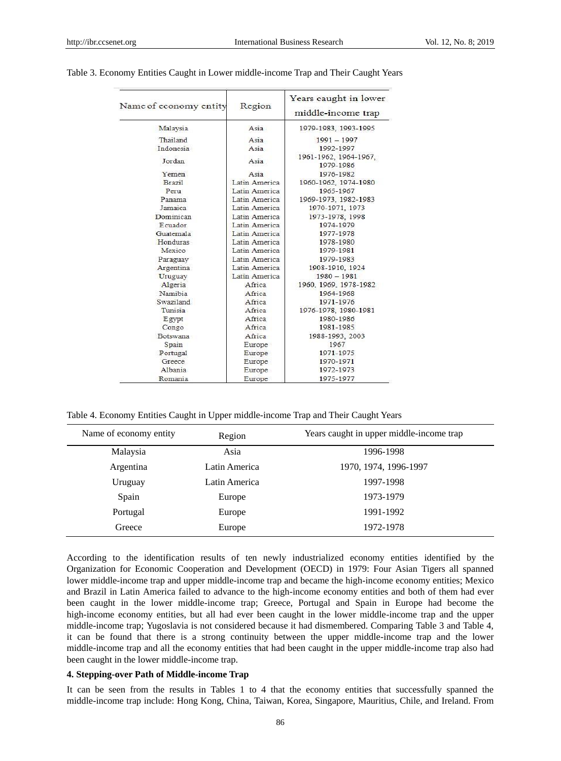| Name of economy entity | Region        | Years caught in lower<br>middle-income trap |  |
|------------------------|---------------|---------------------------------------------|--|
| Malaysia               | Asia          | 1979-1983, 1993-1995                        |  |
| Thailand               | Asia          | $1991 - 1997$                               |  |
| Indonesia              | Asia          | 1992-1997                                   |  |
| Jordan                 | Asia          | 1961-1962, 1964-1967,<br>1979-1986          |  |
| Yemen                  | Asia          | 1976-1982                                   |  |
| Brazil                 | Latin America | 1960-1962, 1974-1980                        |  |
| Peru                   | Latin America | 1965-1967                                   |  |
| Panama.                | Latin America | 1969-1973, 1982-1983                        |  |
| <b>Jamaica</b>         | Latin America | 1970-1971, 1973                             |  |
| Dominican              | Latin America | 1973-1978, 1998                             |  |
| Ecuador.               | Latin America | 1974-1979                                   |  |
| Guatemala              | Latin America | 1977-1978                                   |  |
| Honduras               | Latin America | 1978-1980                                   |  |
| Mexico                 | Latin America | 1979-1981                                   |  |
| Paraguay               | Latin America | 1979-1983                                   |  |
| Argentina              | Latin America | 1908-1910, 1924                             |  |
| Uruguay                | Latin America | $1980 - 1981$                               |  |
| Algeria                | Africa        | 1960, 1969, 1978-1982                       |  |
| Namibia                | Africa        | 1964-1968                                   |  |
| Swaziland              | Africa        | 1971-1976                                   |  |
| Tunisia                | Africa        | 1976-1978, 1980-1981                        |  |
| Egypt                  | Africa        | 1980-1986                                   |  |
| Congo                  | Africa        | 1981-1985                                   |  |
| Botswana               | Africa        | 1988-1993, 2003                             |  |
| Spain                  | Europe        | 1967                                        |  |
| Portugal               | Europe        | 1971-1975                                   |  |
| Greece                 | Europe        | 1970-1971                                   |  |
| Albania                | Europe        | 1972-1973                                   |  |
| Romania                | Europe        | 1975-1977                                   |  |

### Table 3. Economy Entities Caught in Lower middle-income Trap and Their Caught Years

Table 4. Economy Entities Caught in Upper middle-income Trap and Their Caught Years

| Name of economy entity | Region        | Years caught in upper middle-income trap |
|------------------------|---------------|------------------------------------------|
| Malaysia               | Asia          | 1996-1998                                |
| Argentina              | Latin America | 1970, 1974, 1996-1997                    |
| Uruguay                | Latin America | 1997-1998                                |
| Spain                  | Europe        | 1973-1979                                |
| Portugal               | Europe        | 1991-1992                                |
| Greece                 | Europe        | 1972-1978                                |

According to the identification results of ten newly industrialized economy entities identified by the Organization for Economic Cooperation and Development (OECD) in 1979: Four Asian Tigers all spanned lower middle-income trap and upper middle-income trap and became the high-income economy entities; Mexico and Brazil in Latin America failed to advance to the high-income economy entities and both of them had ever been caught in the lower middle-income trap; Greece, Portugal and Spain in Europe had become the high-income economy entities, but all had ever been caught in the lower middle-income trap and the upper middle-income trap; Yugoslavia is not considered because it had dismembered. Comparing Table 3 and Table 4, it can be found that there is a strong continuity between the upper middle-income trap and the lower middle-income trap and all the economy entities that had been caught in the upper middle-income trap also had been caught in the lower middle-income trap.

#### **4. Stepping-over Path of Middle-income Trap**

It can be seen from the results in Tables 1 to 4 that the economy entities that successfully spanned the middle-income trap include: Hong Kong, China, Taiwan, Korea, Singapore, Mauritius, Chile, and Ireland. From